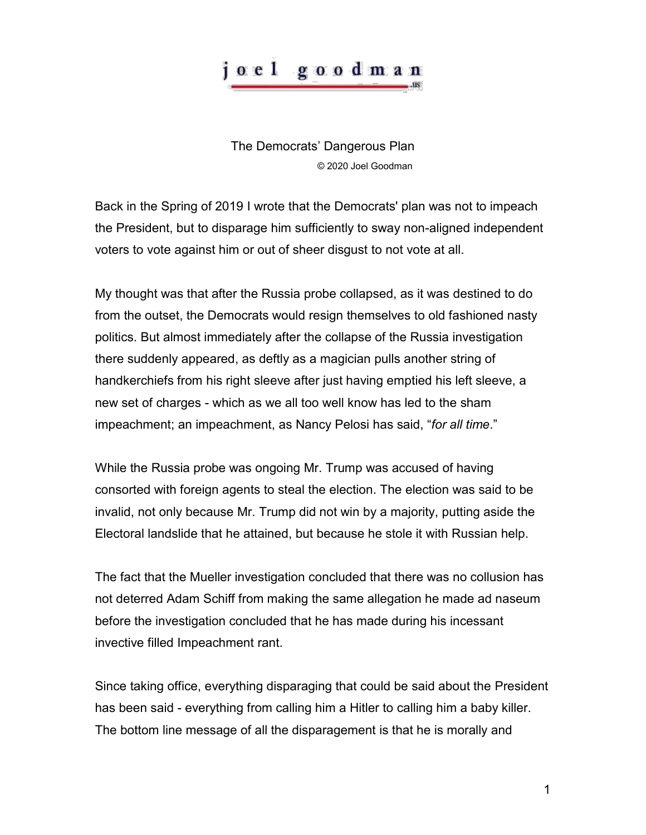## o e l goodman

The Democrats' Dangerous Plan © 2020 Joel Goodman

Back in the Spring of 2019 I wrote that the Democrats' plan was not to impeach the President, but to disparage him sufficiently to sway non-aligned independent voters to vote against him or out of sheer disgust to not vote at all.

My thought was that after the Russia probe collapsed, as it was destined to do from the outset, the Democrats would resign themselves to old fashioned nasty politics. But almost immediately after the collapse of the Russia investigation there suddenly appeared, as deftly as a magician pulls another string of handkerchiefs from his right sleeve after just having emptied his left sleeve, a new set of charges - which as we all too well know has led to the sham impeachment; an impeachment, as Nancy Pelosi has said, "*for all time*."

While the Russia probe was ongoing Mr. Trump was accused of having consorted with foreign agents to steal the election. The election was said to be invalid, not only because Mr. Trump did not win by a majority, putting aside the Electoral landslide that he attained, but because he stole it with Russian help.

The fact that the Mueller investigation concluded that there was no collusion has not deterred Adam Schiff from making the same allegation he made ad naseum before the investigation concluded that he has made during his incessant invective filled Impeachment rant.

Since taking office, everything disparaging that could be said about the President has been said - everything from calling him a Hitler to calling him a baby killer. The bottom line message of all the disparagement is that he is morally and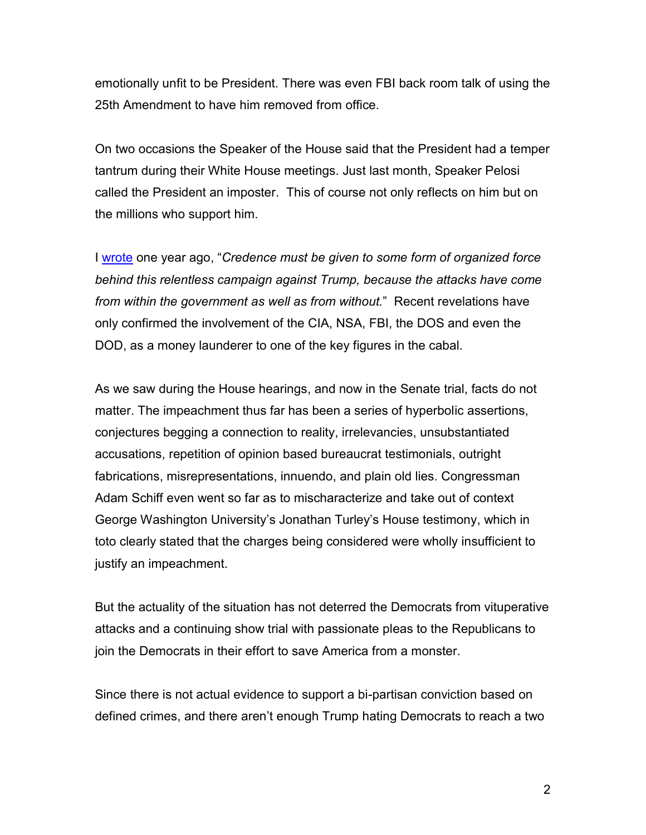emotionally unfit to be President. There was even FBI back room talk of using the 25th Amendment to have him removed from office.

On two occasions the Speaker of the House said that the President had a temper tantrum during their White House meetings. Just last month, Speaker Pelosi called the President an imposter. This of course not only reflects on him but on the millions who support him.

I [wrote](https://joelgoodman.us/joel-goodman_articles/2018-01-14_conspiracy-theory_101-9-996.pdf) one year ago, "*Credence must be given to some form of organized force behind this relentless campaign against Trump, because the attacks have come from within the government as well as from without.*" Recent revelations have only confirmed the involvement of the CIA, NSA, FBI, the DOS and even the DOD, as a money launderer to one of the key figures in the cabal.

As we saw during the House hearings, and now in the Senate trial, facts do not matter. The impeachment thus far has been a series of hyperbolic assertions, conjectures begging a connection to reality, irrelevancies, unsubstantiated accusations, repetition of opinion based bureaucrat testimonials, outright fabrications, misrepresentations, innuendo, and plain old lies. Congressman Adam Schiff even went so far as to mischaracterize and take out of context George Washington University's Jonathan Turley's House testimony, which in toto clearly stated that the charges being considered were wholly insufficient to justify an impeachment.

But the actuality of the situation has not deterred the Democrats from vituperative attacks and a continuing show trial with passionate pleas to the Republicans to join the Democrats in their effort to save America from a monster.

Since there is not actual evidence to support a bi-partisan conviction based on defined crimes, and there aren't enough Trump hating Democrats to reach a two

2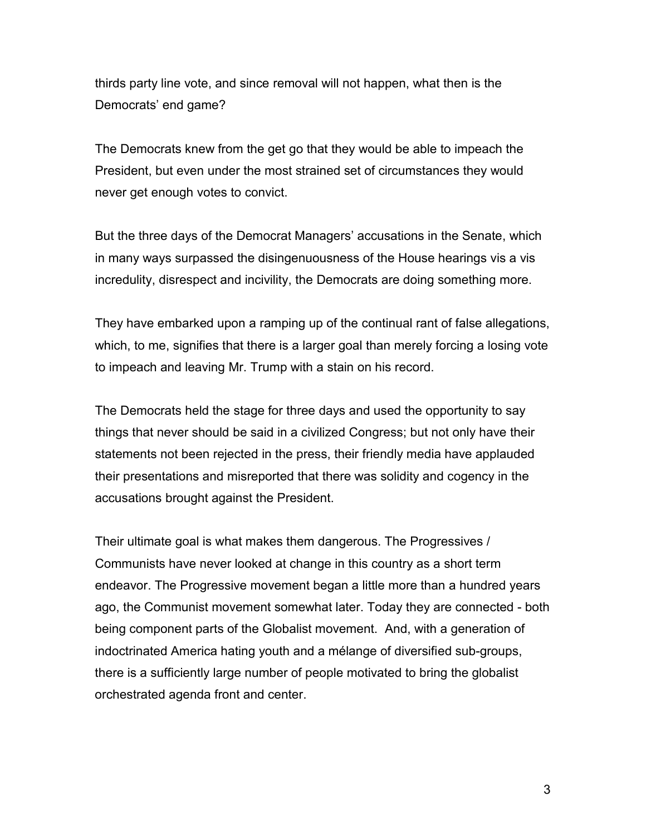thirds party line vote, and since removal will not happen, what then is the Democrats' end game?

The Democrats knew from the get go that they would be able to impeach the President, but even under the most strained set of circumstances they would never get enough votes to convict.

But the three days of the Democrat Managers' accusations in the Senate, which in many ways surpassed the disingenuousness of the House hearings vis a vis incredulity, disrespect and incivility, the Democrats are doing something more.

They have embarked upon a ramping up of the continual rant of false allegations, which, to me, signifies that there is a larger goal than merely forcing a losing vote to impeach and leaving Mr. Trump with a stain on his record.

The Democrats held the stage for three days and used the opportunity to say things that never should be said in a civilized Congress; but not only have their statements not been rejected in the press, their friendly media have applauded their presentations and misreported that there was solidity and cogency in the accusations brought against the President.

Their ultimate goal is what makes them dangerous. The Progressives / Communists have never looked at change in this country as a short term endeavor. The Progressive movement began a little more than a hundred years ago, the Communist movement somewhat later. Today they are connected - both being component parts of the Globalist movement. And, with a generation of indoctrinated America hating youth and a mélange of diversified sub-groups, there is a sufficiently large number of people motivated to bring the globalist orchestrated agenda front and center.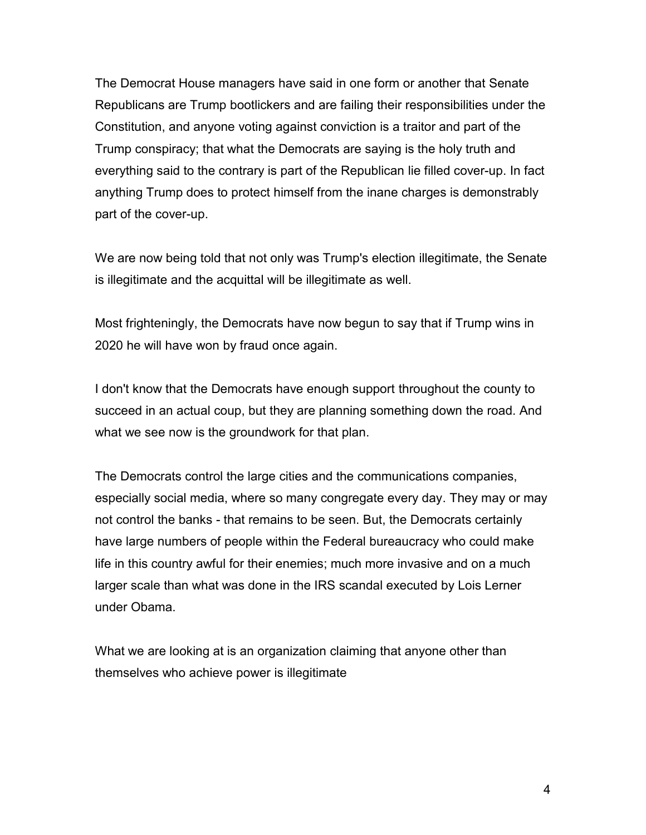The Democrat House managers have said in one form or another that Senate Republicans are Trump bootlickers and are failing their responsibilities under the Constitution, and anyone voting against conviction is a traitor and part of the Trump conspiracy; that what the Democrats are saying is the holy truth and everything said to the contrary is part of the Republican lie filled cover-up. In fact anything Trump does to protect himself from the inane charges is demonstrably part of the cover-up.

We are now being told that not only was Trump's election illegitimate, the Senate is illegitimate and the acquittal will be illegitimate as well.

Most frighteningly, the Democrats have now begun to say that if Trump wins in 2020 he will have won by fraud once again.

I don't know that the Democrats have enough support throughout the county to succeed in an actual coup, but they are planning something down the road. And what we see now is the groundwork for that plan.

The Democrats control the large cities and the communications companies, especially social media, where so many congregate every day. They may or may not control the banks - that remains to be seen. But, the Democrats certainly have large numbers of people within the Federal bureaucracy who could make life in this country awful for their enemies; much more invasive and on a much larger scale than what was done in the IRS scandal executed by Lois Lerner under Obama.

What we are looking at is an organization claiming that anyone other than themselves who achieve power is illegitimate